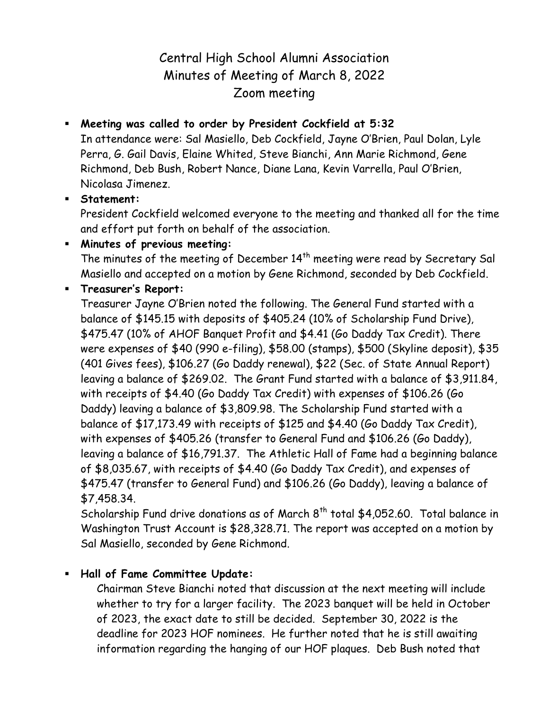# Central High School Alumni Association Minutes of Meeting of March 8, 2022 Zoom meeting

## **Meeting was called to order by President Cockfield at 5:32**

In attendance were: Sal Masiello, Deb Cockfield, Jayne O'Brien, Paul Dolan, Lyle Perra, G. Gail Davis, Elaine Whited, Steve Bianchi, Ann Marie Richmond, Gene Richmond, Deb Bush, Robert Nance, Diane Lana, Kevin Varrella, Paul O'Brien, Nicolasa Jimenez.

### **Statement:**

President Cockfield welcomed everyone to the meeting and thanked all for the time and effort put forth on behalf of the association.

**Minutes of previous meeting:**

The minutes of the meeting of December 14<sup>th</sup> meeting were read by Secretary Sal Masiello and accepted on a motion by Gene Richmond, seconded by Deb Cockfield.

### **Treasurer's Report:**

Treasurer Jayne O'Brien noted the following. The General Fund started with a balance of \$145.15 with deposits of \$405.24 (10% of Scholarship Fund Drive), \$475.47 (10% of AHOF Banquet Profit and \$4.41 (Go Daddy Tax Credit). There were expenses of \$40 (990 e-filing), \$58.00 (stamps), \$500 (Skyline deposit), \$35 (401 Gives fees), \$106.27 (Go Daddy renewal), \$22 (Sec. of State Annual Report) leaving a balance of \$269.02. The Grant Fund started with a balance of \$3,911.84, with receipts of \$4.40 (Go Daddy Tax Credit) with expenses of \$106.26 (Go Daddy) leaving a balance of \$3,809.98. The Scholarship Fund started with a balance of \$17,173.49 with receipts of \$125 and \$4.40 (Go Daddy Tax Credit), with expenses of \$405.26 (transfer to General Fund and \$106.26 (Go Daddy), leaving a balance of \$16,791.37. The Athletic Hall of Fame had a beginning balance of \$8,035.67, with receipts of \$4.40 (Go Daddy Tax Credit), and expenses of \$475.47 (transfer to General Fund) and \$106.26 (Go Daddy), leaving a balance of \$7,458.34.

Scholarship Fund drive donations as of March  $8<sup>th</sup>$  total \$4,052.60. Total balance in Washington Trust Account is \$28,328.71. The report was accepted on a motion by Sal Masiello, seconded by Gene Richmond.

## **Hall of Fame Committee Update:**

Chairman Steve Bianchi noted that discussion at the next meeting will include whether to try for a larger facility. The 2023 banquet will be held in October of 2023, the exact date to still be decided. September 30, 2022 is the deadline for 2023 HOF nominees. He further noted that he is still awaiting information regarding the hanging of our HOF plaques. Deb Bush noted that